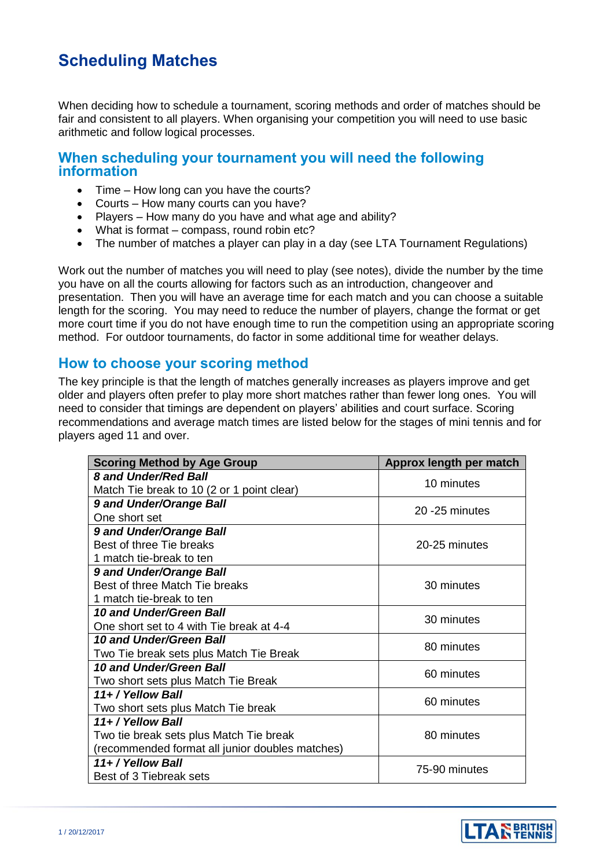# **Scheduling Matches**

When deciding how to schedule a tournament, scoring methods and order of matches should be fair and consistent to all players. When organising your competition you will need to use basic arithmetic and follow logical processes.

### **When scheduling your tournament you will need the following information**

- Time How long can you have the courts?
- Courts How many courts can you have?
- Players How many do you have and what age and ability?
- What is format compass, round robin etc?
- The number of matches a player can play in a day (see LTA Tournament Regulations)

Work out the number of matches you will need to play (see notes), divide the number by the time you have on all the courts allowing for factors such as an introduction, changeover and presentation. Then you will have an average time for each match and you can choose a suitable length for the scoring. You may need to reduce the number of players, change the format or get more court time if you do not have enough time to run the competition using an appropriate scoring method. For outdoor tournaments, do factor in some additional time for weather delays.

## **How to choose your scoring method**

The key principle is that the length of matches generally increases as players improve and get older and players often prefer to play more short matches rather than fewer long ones. You will need to consider that timings are dependent on players' abilities and court surface. Scoring recommendations and average match times are listed below for the stages of mini tennis and for players aged 11 and over.

| <b>Scoring Method by Age Group</b>              | Approx length per match |
|-------------------------------------------------|-------------------------|
| <b>8 and Under/Red Ball</b>                     | 10 minutes              |
| Match Tie break to 10 (2 or 1 point clear)      |                         |
| 9 and Under/Orange Ball                         | 20 - 25 minutes         |
| One short set                                   |                         |
| 9 and Under/Orange Ball                         |                         |
| Best of three Tie breaks                        | 20-25 minutes           |
| 1 match tie-break to ten                        |                         |
| 9 and Under/Orange Ball                         |                         |
| Best of three Match Tie breaks                  | 30 minutes              |
| 1 match tie-break to ten                        |                         |
| 10 and Under/Green Ball                         | 30 minutes              |
| One short set to 4 with Tie break at 4-4        |                         |
| 10 and Under/Green Ball                         | 80 minutes              |
| Two Tie break sets plus Match Tie Break         |                         |
| 10 and Under/Green Ball                         | 60 minutes              |
| Two short sets plus Match Tie Break             |                         |
| 11+ / Yellow Ball                               | 60 minutes              |
| Two short sets plus Match Tie break             |                         |
| 11+ / Yellow Ball                               |                         |
| Two tie break sets plus Match Tie break         | 80 minutes              |
| (recommended format all junior doubles matches) |                         |
| 11+ / Yellow Ball                               | 75-90 minutes           |
| Best of 3 Tiebreak sets                         |                         |